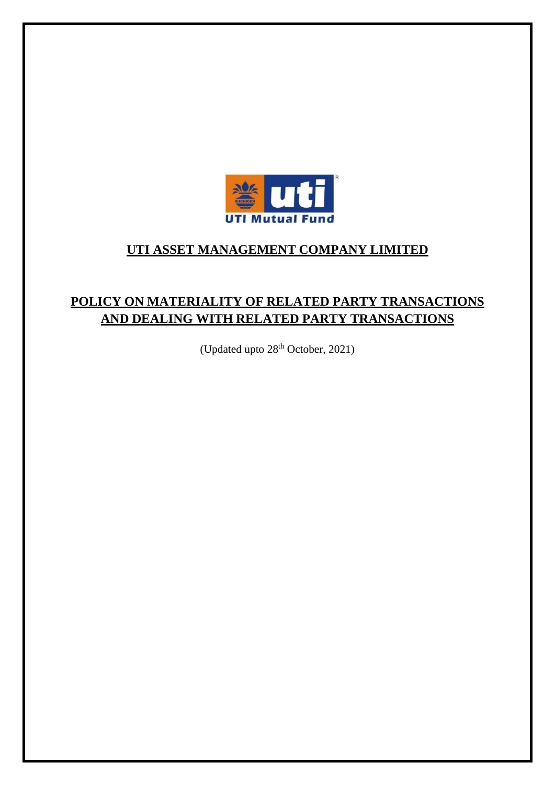

# **UTI ASSET MANAGEMENT COMPANY LIMITED**

# **POLICY ON MATERIALITY OF RELATED PARTY TRANSACTIONS AND DEALING WITH RELATED PARTY TRANSACTIONS**

(Updated upto 28<sup>th</sup> October, 2021)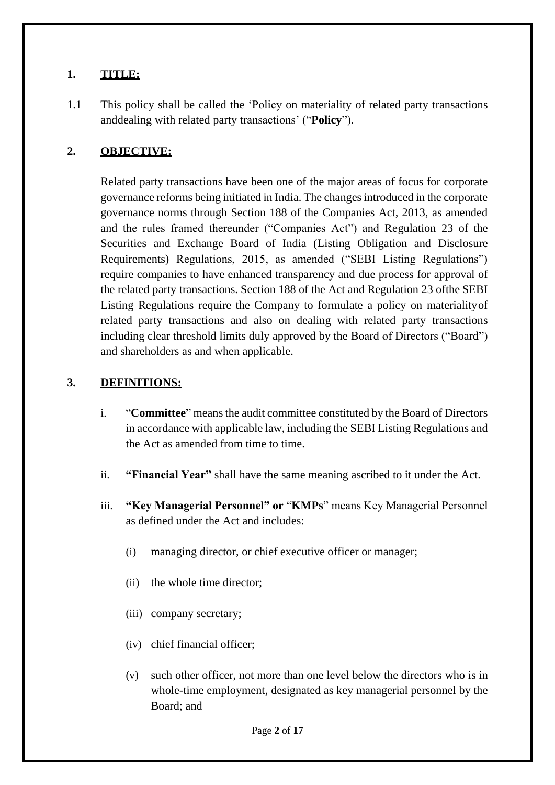#### **1. TITLE:**

1.1 This policy shall be called the 'Policy on materiality of related party transactions anddealing with related party transactions' ("**Policy**").

### **2. OBJECTIVE:**

Related party transactions have been one of the major areas of focus for corporate governance reforms being initiated in India. The changes introduced in the corporate governance norms through Section 188 of the Companies Act, 2013, as amended and the rules framed thereunder ("Companies Act") and Regulation 23 of the Securities and Exchange Board of India (Listing Obligation and Disclosure Requirements) Regulations, 2015, as amended ("SEBI Listing Regulations") require companies to have enhanced transparency and due process for approval of the related party transactions. Section 188 of the Act and Regulation 23 ofthe SEBI Listing Regulations require the Company to formulate a policy on materialityof related party transactions and also on dealing with related party transactions including clear threshold limits duly approved by the Board of Directors ("Board") and shareholders as and when applicable.

#### **3. DEFINITIONS:**

- i. "**Committee**" meansthe audit committee constituted by the Board of Directors in accordance with applicable law, including the SEBI Listing Regulations and the Act as amended from time to time.
- ii. **"Financial Year"** shall have the same meaning ascribed to it under the Act.
- iii. **"Key Managerial Personnel" or** "**KMPs**" means Key Managerial Personnel as defined under the Act and includes:
	- (i) managing director, or chief executive officer or manager;
	- (ii) the whole time director;
	- (iii) company secretary;
	- (iv) chief financial officer;
	- (v) such other officer, not more than one level below the directors who is in whole-time employment, designated as key managerial personnel by the Board; and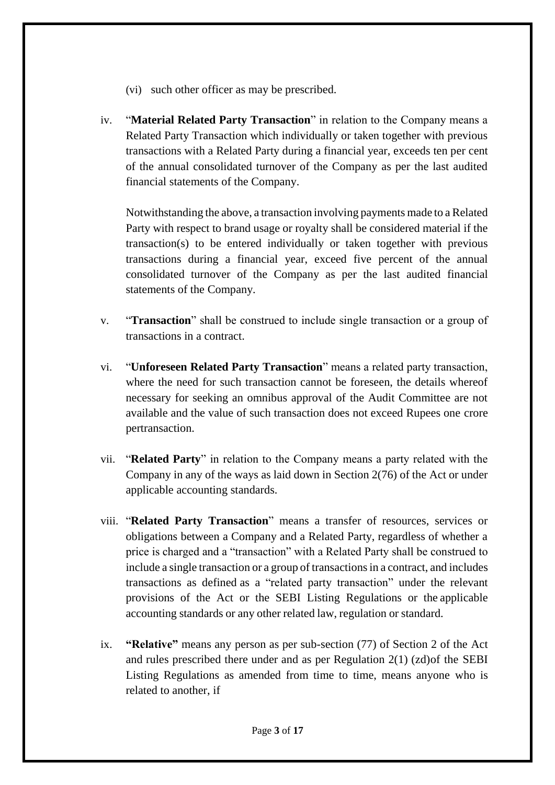- (vi) such other officer as may be prescribed.
- iv. "**Material Related Party Transaction**" in relation to the Company means a Related Party Transaction which individually or taken together with previous transactions with a Related Party during a financial year, exceeds ten per cent of the annual consolidated turnover of the Company as per the last audited financial statements of the Company.

Notwithstanding the above, a transaction involving payments made to a Related Party with respect to brand usage or royalty shall be considered material if the transaction(s) to be entered individually or taken together with previous transactions during a financial year, exceed five percent of the annual consolidated turnover of the Company as per the last audited financial statements of the Company.

- v. "**Transaction**" shall be construed to include single transaction or a group of transactions in a contract.
- vi. "**Unforeseen Related Party Transaction**" means a related party transaction, where the need for such transaction cannot be foreseen, the details whereof necessary for seeking an omnibus approval of the Audit Committee are not available and the value of such transaction does not exceed Rupees one crore pertransaction.
- vii. "**Related Party**" in relation to the Company means a party related with the Company in any of the ways as laid down in Section 2(76) of the Act or under applicable accounting standards.
- viii. "**Related Party Transaction**" means a transfer of resources, services or obligations between a Company and a Related Party, regardless of whether a price is charged and a "transaction" with a Related Party shall be construed to include a single transaction or a group of transactions in a contract, and includes transactions as defined as a "related party transaction" under the relevant provisions of the Act or the SEBI Listing Regulations or the applicable accounting standards or any other related law, regulation or standard.
- ix. **"Relative"** means any person as per sub-section (77) of Section 2 of the Act and rules prescribed there under and as per Regulation 2(1) (zd)of the SEBI Listing Regulations as amended from time to time, means anyone who is related to another, if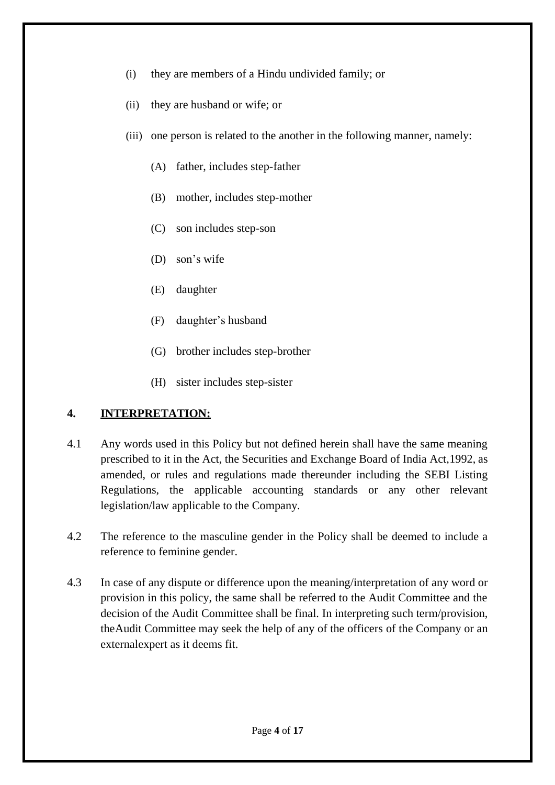- (i) they are members of a Hindu undivided family; or
- (ii) they are husband or wife; or
- (iii) one person is related to the another in the following manner, namely:
	- (A) father, includes step-father
	- (B) mother, includes step-mother
	- (C) son includes step-son
	- (D) son's wife
	- (E) daughter
	- (F) daughter's husband
	- (G) brother includes step-brother
	- (H) sister includes step-sister

### **4. INTERPRETATION:**

- 4.1 Any words used in this Policy but not defined herein shall have the same meaning prescribed to it in the Act, the Securities and Exchange Board of India Act,1992, as amended, or rules and regulations made thereunder including the SEBI Listing Regulations, the applicable accounting standards or any other relevant legislation/law applicable to the Company.
- 4.2 The reference to the masculine gender in the Policy shall be deemed to include a reference to feminine gender.
- 4.3 In case of any dispute or difference upon the meaning/interpretation of any word or provision in this policy, the same shall be referred to the Audit Committee and the decision of the Audit Committee shall be final. In interpreting such term/provision, theAudit Committee may seek the help of any of the officers of the Company or an externalexpert as it deems fit.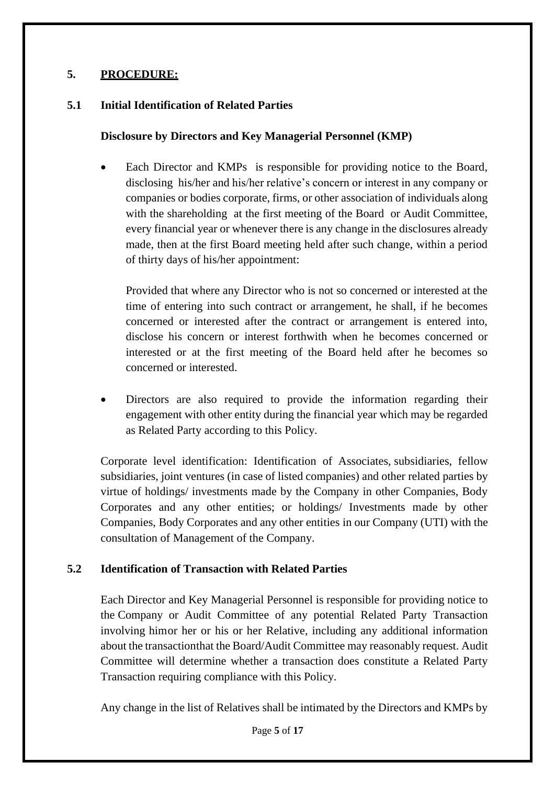## **5. PROCEDURE:**

#### **5.1 Initial Identification of Related Parties**

#### **Disclosure by Directors and Key Managerial Personnel (KMP)**

 Each Director and KMPs is responsible for providing notice to the Board, disclosing his/her and his/her relative's concern or interest in any company or companies or bodies corporate, firms, or other association of individuals along with the shareholding at the first meeting of the Board or Audit Committee, every financial year or whenever there is any change in the disclosures already made, then at the first Board meeting held after such change, within a period of thirty days of his/her appointment:

Provided that where any Director who is not so concerned or interested at the time of entering into such contract or arrangement, he shall, if he becomes concerned or interested after the contract or arrangement is entered into, disclose his concern or interest forthwith when he becomes concerned or interested or at the first meeting of the Board held after he becomes so concerned or interested.

 Directors are also required to provide the information regarding their engagement with other entity during the financial year which may be regarded as Related Party according to this Policy.

Corporate level identification: Identification of Associates, subsidiaries, fellow subsidiaries, joint ventures (in case of listed companies) and other related parties by virtue of holdings/ investments made by the Company in other Companies, Body Corporates and any other entities; or holdings/ Investments made by other Companies, Body Corporates and any other entities in our Company (UTI) with the consultation of Management of the Company.

### **5.2 Identification of Transaction with Related Parties**

Each Director and Key Managerial Personnel is responsible for providing notice to the Company or Audit Committee of any potential Related Party Transaction involving himor her or his or her Relative, including any additional information about the transactionthat the Board/Audit Committee may reasonably request. Audit Committee will determine whether a transaction does constitute a Related Party Transaction requiring compliance with this Policy.

Any change in the list of Relatives shall be intimated by the Directors and KMPs by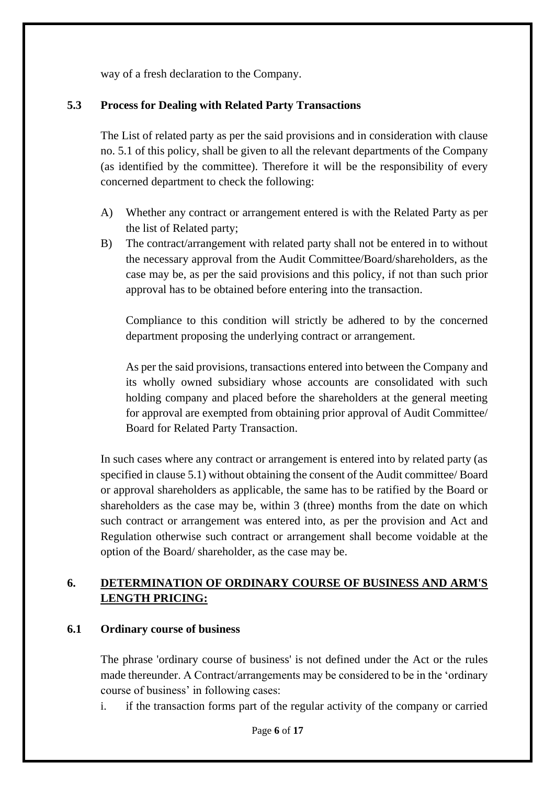way of a fresh declaration to the Company.

### **5.3 Process for Dealing with Related Party Transactions**

The List of related party as per the said provisions and in consideration with clause no. 5.1 of this policy, shall be given to all the relevant departments of the Company (as identified by the committee). Therefore it will be the responsibility of every concerned department to check the following:

- A) Whether any contract or arrangement entered is with the Related Party as per the list of Related party;
- B) The contract/arrangement with related party shall not be entered in to without the necessary approval from the Audit Committee/Board/shareholders, as the case may be, as per the said provisions and this policy, if not than such prior approval has to be obtained before entering into the transaction.

Compliance to this condition will strictly be adhered to by the concerned department proposing the underlying contract or arrangement.

As per the said provisions, transactions entered into between the Company and its wholly owned subsidiary whose accounts are consolidated with such holding company and placed before the shareholders at the general meeting for approval are exempted from obtaining prior approval of Audit Committee/ Board for Related Party Transaction.

In such cases where any contract or arrangement is entered into by related party (as specified in clause 5.1) without obtaining the consent of the Audit committee/ Board or approval shareholders as applicable, the same has to be ratified by the Board or shareholders as the case may be, within 3 (three) months from the date on which such contract or arrangement was entered into, as per the provision and Act and Regulation otherwise such contract or arrangement shall become voidable at the option of the Board/ shareholder, as the case may be.

## **6. DETERMINATION OF ORDINARY COURSE OF BUSINESS AND ARM'S LENGTH PRICING:**

### **6.1 Ordinary course of business**

The phrase 'ordinary course of business' is not defined under the Act or the rules made thereunder. A Contract/arrangements may be considered to be in the 'ordinary course of business' in following cases:

i. if the transaction forms part of the regular activity of the company or carried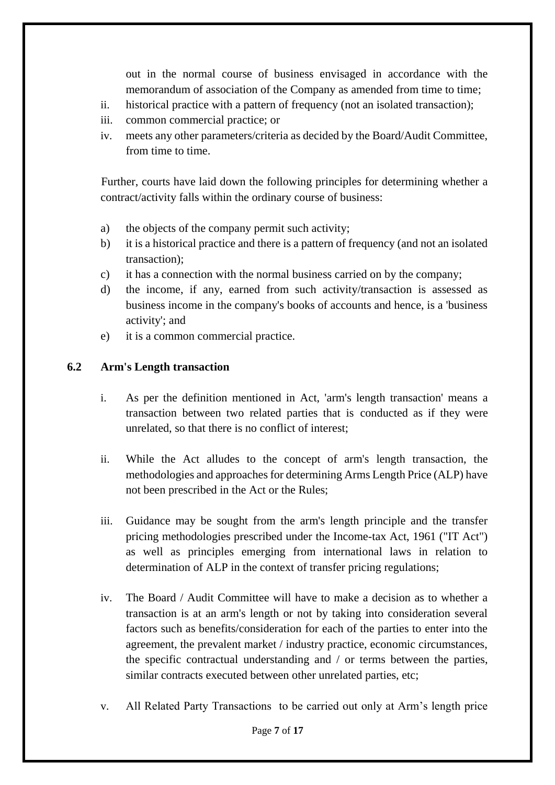out in the normal course of business envisaged in accordance with the memorandum of association of the Company as amended from time to time;

- ii. historical practice with a pattern of frequency (not an isolated transaction);
- iii. common commercial practice; or
- iv. meets any other parameters/criteria as decided by the Board/Audit Committee, from time to time.

Further, courts have laid down the following principles for determining whether a contract/activity falls within the ordinary course of business:

- a) the objects of the company permit such activity;
- b) it is a historical practice and there is a pattern of frequency (and not an isolated transaction);
- c) it has a connection with the normal business carried on by the company;
- d) the income, if any, earned from such activity/transaction is assessed as business income in the company's books of accounts and hence, is a 'business activity'; and
- e) it is a common commercial practice.

#### **6.2 Arm's Length transaction**

- i. As per the definition mentioned in Act, 'arm's length transaction' means a transaction between two related parties that is conducted as if they were unrelated, so that there is no conflict of interest;
- ii. While the Act alludes to the concept of arm's length transaction, the methodologies and approaches for determining Arms Length Price (ALP) have not been prescribed in the Act or the Rules;
- iii. Guidance may be sought from the arm's length principle and the transfer pricing methodologies prescribed under the Income-tax Act, 1961 ("IT Act") as well as principles emerging from international laws in relation to determination of ALP in the context of transfer pricing regulations;
- iv. The Board / Audit Committee will have to make a decision as to whether a transaction is at an arm's length or not by taking into consideration several factors such as benefits/consideration for each of the parties to enter into the agreement, the prevalent market / industry practice, economic circumstances, the specific contractual understanding and / or terms between the parties, similar contracts executed between other unrelated parties, etc;
- v. All Related Party Transactions to be carried out only at Arm's length price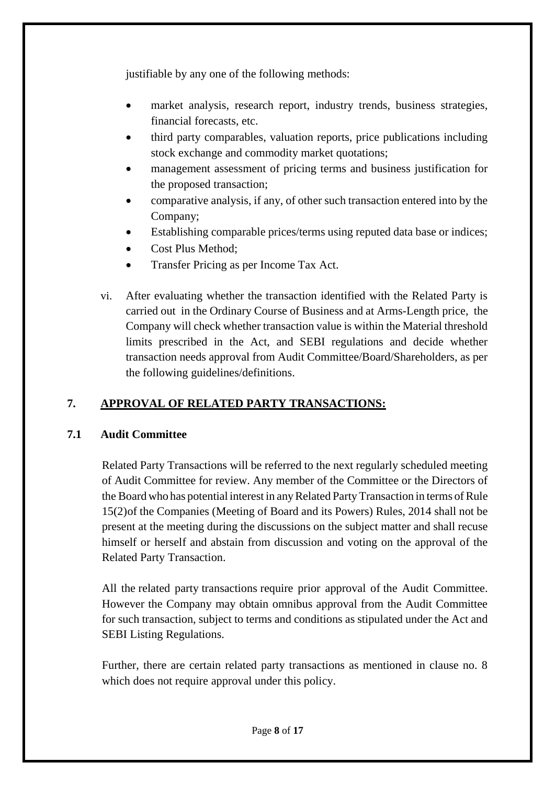justifiable by any one of the following methods:

- market analysis, research report, industry trends, business strategies, financial forecasts, etc.
- third party comparables, valuation reports, price publications including stock exchange and commodity market quotations;
- management assessment of pricing terms and business justification for the proposed transaction;
- comparative analysis, if any, of other such transaction entered into by the Company;
- Establishing comparable prices/terms using reputed data base or indices;
- Cost Plus Method;
- Transfer Pricing as per Income Tax Act.
- vi. After evaluating whether the transaction identified with the Related Party is carried out in the Ordinary Course of Business and at Arms-Length price, the Company will check whether transaction value is within the Material threshold limits prescribed in the Act, and SEBI regulations and decide whether transaction needs approval from Audit Committee/Board/Shareholders, as per the following guidelines/definitions.

## **7. APPROVAL OF RELATED PARTY TRANSACTIONS:**

### **7.1 Audit Committee**

Related Party Transactions will be referred to the next regularly scheduled meeting of Audit Committee for review. Any member of the Committee or the Directors of the Board who has potential interest in any Related Party Transaction in terms of Rule 15(2)of the Companies (Meeting of Board and its Powers) Rules, 2014 shall not be present at the meeting during the discussions on the subject matter and shall recuse himself or herself and abstain from discussion and voting on the approval of the Related Party Transaction.

All the related party transactions require prior approval of the Audit Committee. However the Company may obtain omnibus approval from the Audit Committee for such transaction, subject to terms and conditions as stipulated under the Act and SEBI Listing Regulations.

Further, there are certain related party transactions as mentioned in clause no. 8 which does not require approval under this policy.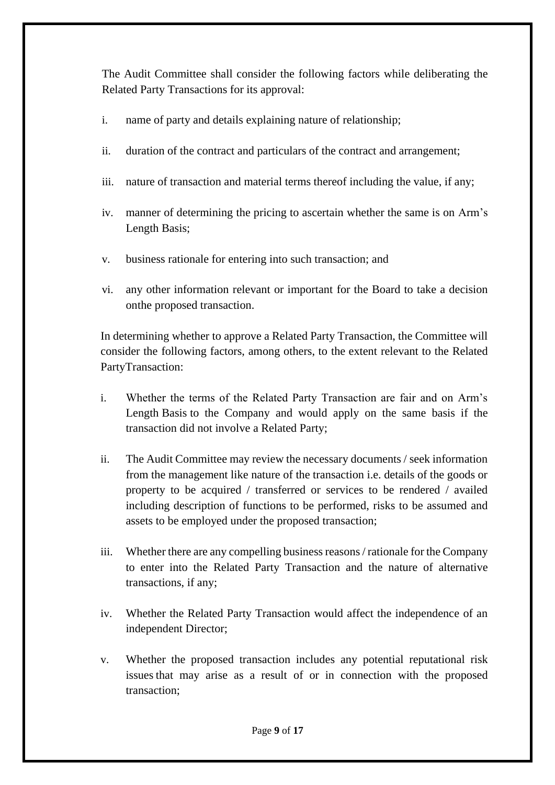The Audit Committee shall consider the following factors while deliberating the Related Party Transactions for its approval:

- i. name of party and details explaining nature of relationship;
- ii. duration of the contract and particulars of the contract and arrangement;
- iii. nature of transaction and material terms thereof including the value, if any;
- iv. manner of determining the pricing to ascertain whether the same is on Arm's Length Basis;
- v. business rationale for entering into such transaction; and
- vi. any other information relevant or important for the Board to take a decision onthe proposed transaction.

In determining whether to approve a Related Party Transaction, the Committee will consider the following factors, among others, to the extent relevant to the Related PartyTransaction:

- i. Whether the terms of the Related Party Transaction are fair and on Arm's Length Basis to the Company and would apply on the same basis if the transaction did not involve a Related Party;
- ii. The Audit Committee may review the necessary documents / seek information from the management like nature of the transaction i.e. details of the goods or property to be acquired / transferred or services to be rendered / availed including description of functions to be performed, risks to be assumed and assets to be employed under the proposed transaction;
- iii. Whether there are any compelling business reasons / rationale for the Company to enter into the Related Party Transaction and the nature of alternative transactions, if any;
- iv. Whether the Related Party Transaction would affect the independence of an independent Director;
- v. Whether the proposed transaction includes any potential reputational risk issuesthat may arise as a result of or in connection with the proposed transaction;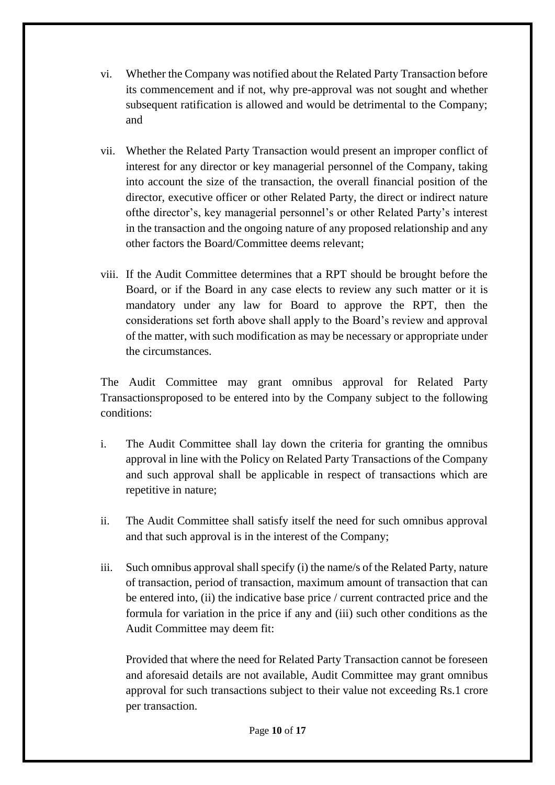- vi. Whether the Company was notified about the Related Party Transaction before its commencement and if not, why pre-approval was not sought and whether subsequent ratification is allowed and would be detrimental to the Company; and
- vii. Whether the Related Party Transaction would present an improper conflict of interest for any director or key managerial personnel of the Company, taking into account the size of the transaction, the overall financial position of the director, executive officer or other Related Party, the direct or indirect nature ofthe director's, key managerial personnel's or other Related Party's interest in the transaction and the ongoing nature of any proposed relationship and any other factors the Board/Committee deems relevant;
- viii. If the Audit Committee determines that a RPT should be brought before the Board, or if the Board in any case elects to review any such matter or it is mandatory under any law for Board to approve the RPT, then the considerations set forth above shall apply to the Board's review and approval of the matter, with such modification as may be necessary or appropriate under the circumstances.

The Audit Committee may grant omnibus approval for Related Party Transactionsproposed to be entered into by the Company subject to the following conditions:

- i. The Audit Committee shall lay down the criteria for granting the omnibus approval in line with the Policy on Related Party Transactions of the Company and such approval shall be applicable in respect of transactions which are repetitive in nature;
- ii. The Audit Committee shall satisfy itself the need for such omnibus approval and that such approval is in the interest of the Company;
- iii. Such omnibus approval shall specify (i) the name/s of the Related Party, nature of transaction, period of transaction, maximum amount of transaction that can be entered into, (ii) the indicative base price / current contracted price and the formula for variation in the price if any and (iii) such other conditions as the Audit Committee may deem fit:

Provided that where the need for Related Party Transaction cannot be foreseen and aforesaid details are not available, Audit Committee may grant omnibus approval for such transactions subject to their value not exceeding Rs.1 crore per transaction.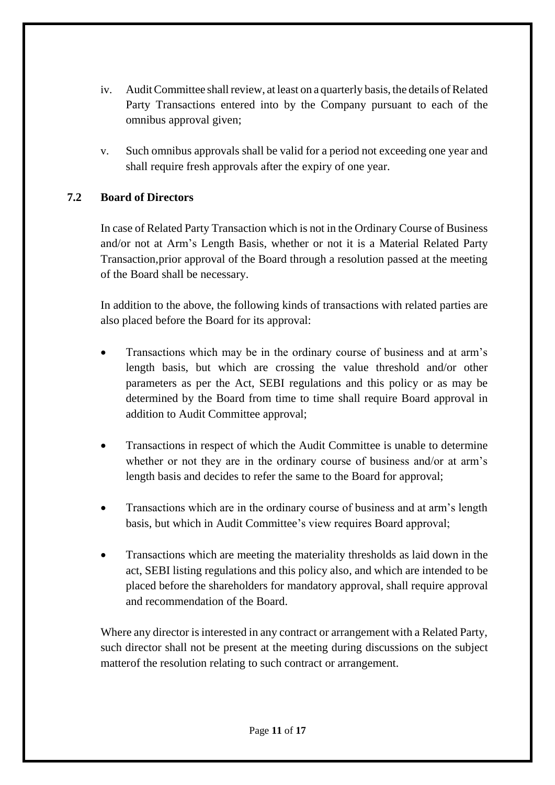- iv. Audit Committee shall review, at least on a quarterly basis, the details of Related Party Transactions entered into by the Company pursuant to each of the omnibus approval given;
- v. Such omnibus approvals shall be valid for a period not exceeding one year and shall require fresh approvals after the expiry of one year.

## **7.2 Board of Directors**

In case of Related Party Transaction which is not in the Ordinary Course of Business and/or not at Arm's Length Basis, whether or not it is a Material Related Party Transaction,prior approval of the Board through a resolution passed at the meeting of the Board shall be necessary.

In addition to the above, the following kinds of transactions with related parties are also placed before the Board for its approval:

- Transactions which may be in the ordinary course of business and at arm's length basis, but which are crossing the value threshold and/or other parameters as per the Act, SEBI regulations and this policy or as may be determined by the Board from time to time shall require Board approval in addition to Audit Committee approval;
- Transactions in respect of which the Audit Committee is unable to determine whether or not they are in the ordinary course of business and/or at arm's length basis and decides to refer the same to the Board for approval;
- Transactions which are in the ordinary course of business and at arm's length basis, but which in Audit Committee's view requires Board approval;
- Transactions which are meeting the materiality thresholds as laid down in the act, SEBI listing regulations and this policy also, and which are intended to be placed before the shareholders for mandatory approval, shall require approval and recommendation of the Board.

Where any director is interested in any contract or arrangement with a Related Party, such director shall not be present at the meeting during discussions on the subject matterof the resolution relating to such contract or arrangement.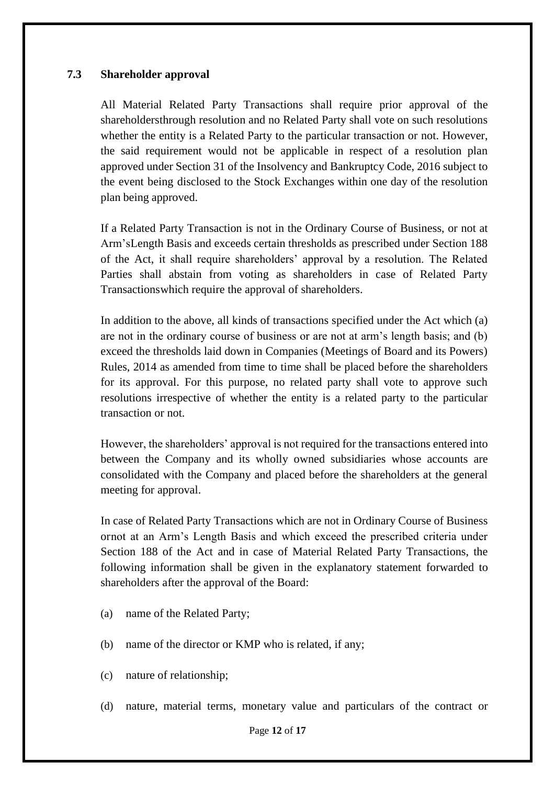#### **7.3 Shareholder approval**

All Material Related Party Transactions shall require prior approval of the shareholdersthrough resolution and no Related Party shall vote on such resolutions whether the entity is a Related Party to the particular transaction or not. However, the said requirement would not be applicable in respect of a resolution plan approved under Section 31 of the Insolvency and Bankruptcy Code, 2016 subject to the event being disclosed to the Stock Exchanges within one day of the resolution plan being approved.

If a Related Party Transaction is not in the Ordinary Course of Business, or not at Arm'sLength Basis and exceeds certain thresholds as prescribed under Section 188 of the Act, it shall require shareholders' approval by a resolution. The Related Parties shall abstain from voting as shareholders in case of Related Party Transactionswhich require the approval of shareholders.

In addition to the above, all kinds of transactions specified under the Act which (a) are not in the ordinary course of business or are not at arm's length basis; and (b) exceed the thresholds laid down in Companies (Meetings of Board and its Powers) Rules, 2014 as amended from time to time shall be placed before the shareholders for its approval. For this purpose, no related party shall vote to approve such resolutions irrespective of whether the entity is a related party to the particular transaction or not.

However, the shareholders' approval is not required for the transactions entered into between the Company and its wholly owned subsidiaries whose accounts are consolidated with the Company and placed before the shareholders at the general meeting for approval.

In case of Related Party Transactions which are not in Ordinary Course of Business ornot at an Arm's Length Basis and which exceed the prescribed criteria under Section 188 of the Act and in case of Material Related Party Transactions, the following information shall be given in the explanatory statement forwarded to shareholders after the approval of the Board:

- (a) name of the Related Party;
- (b) name of the director or KMP who is related, if any;
- (c) nature of relationship;
- (d) nature, material terms, monetary value and particulars of the contract or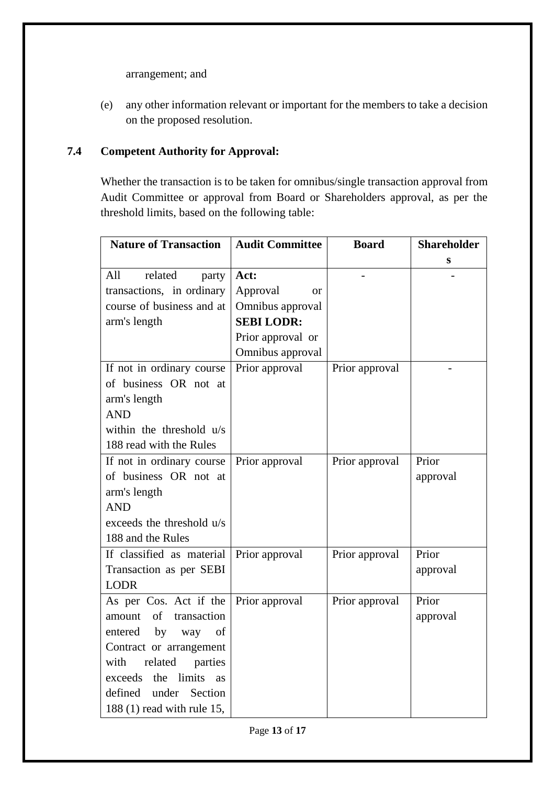arrangement; and

(e) any other information relevant or important for the members to take a decision on the proposed resolution.

### **7.4 Competent Authority for Approval:**

Whether the transaction is to be taken for omnibus/single transaction approval from Audit Committee or approval from Board or Shareholders approval, as per the threshold limits, based on the following table:

| <b>Nature of Transaction</b>      | <b>Audit Committee</b> | <b>Board</b>   | <b>Shareholder</b> |
|-----------------------------------|------------------------|----------------|--------------------|
|                                   |                        |                | S                  |
| All<br>related<br>party           | Act:                   |                |                    |
| transactions, in ordinary         | Approval<br>or         |                |                    |
| course of business and at         | Omnibus approval       |                |                    |
| arm's length                      | <b>SEBI LODR:</b>      |                |                    |
|                                   | Prior approval or      |                |                    |
|                                   | Omnibus approval       |                |                    |
| If not in ordinary course         | Prior approval         | Prior approval |                    |
| of business OR not at             |                        |                |                    |
| arm's length                      |                        |                |                    |
| <b>AND</b>                        |                        |                |                    |
| within the threshold u/s          |                        |                |                    |
| 188 read with the Rules           |                        |                |                    |
| If not in ordinary course         | Prior approval         | Prior approval | Prior              |
| of business OR not at             |                        |                | approval           |
| arm's length                      |                        |                |                    |
| <b>AND</b>                        |                        |                |                    |
| exceeds the threshold u/s         |                        |                |                    |
| 188 and the Rules                 |                        |                |                    |
| If classified as material         | Prior approval         | Prior approval | Prior              |
| Transaction as per SEBI           |                        |                | approval           |
| <b>LODR</b>                       |                        |                |                    |
| As per Cos. Act if the            | Prior approval         | Prior approval | Prior              |
| $\sigma$<br>transaction<br>amount |                        |                | approval           |
| by<br>way<br>of<br>entered        |                        |                |                    |
| Contract or arrangement           |                        |                |                    |
| related<br>with<br>parties        |                        |                |                    |
| limits<br>exceeds<br>the<br>as    |                        |                |                    |
| defined<br>under<br>Section       |                        |                |                    |
| 188 (1) read with rule 15,        |                        |                |                    |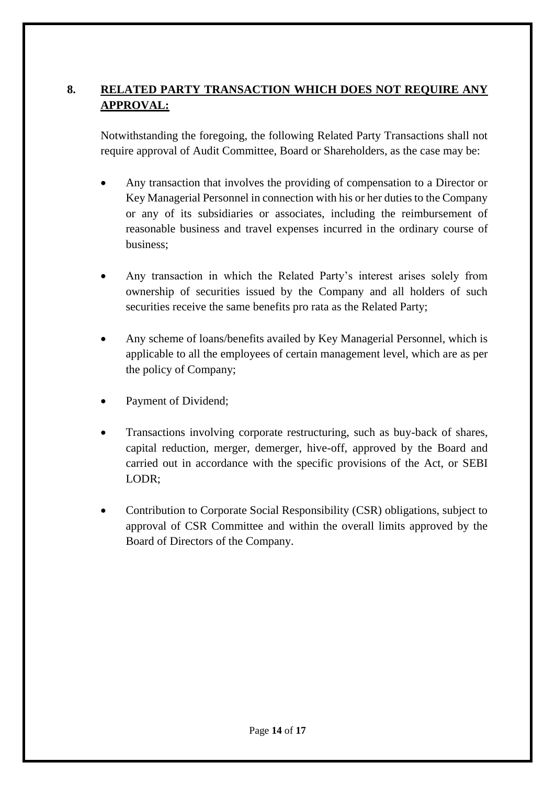## **8. RELATED PARTY TRANSACTION WHICH DOES NOT REQUIRE ANY APPROVAL:**

Notwithstanding the foregoing, the following Related Party Transactions shall not require approval of Audit Committee, Board or Shareholders, as the case may be:

- Any transaction that involves the providing of compensation to a Director or Key Managerial Personnel in connection with his or her duties to the Company or any of its subsidiaries or associates, including the reimbursement of reasonable business and travel expenses incurred in the ordinary course of business;
- Any transaction in which the Related Party's interest arises solely from ownership of securities issued by the Company and all holders of such securities receive the same benefits pro rata as the Related Party;
- Any scheme of loans/benefits availed by Key Managerial Personnel, which is applicable to all the employees of certain management level, which are as per the policy of Company;
- Payment of Dividend;
- Transactions involving corporate restructuring, such as buy-back of shares, capital reduction, merger, demerger, hive-off, approved by the Board and carried out in accordance with the specific provisions of the Act, or SEBI LODR;
- Contribution to Corporate Social Responsibility (CSR) obligations, subject to approval of CSR Committee and within the overall limits approved by the Board of Directors of the Company.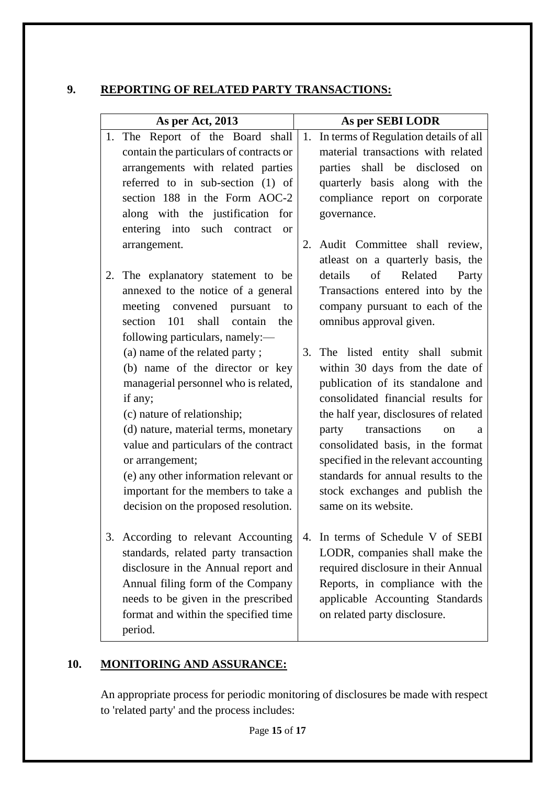### **9. REPORTING OF RELATED PARTY TRANSACTIONS:**

| As per Act, 2013 |                                                                             | As per SEBI LODR |                                                                             |  |
|------------------|-----------------------------------------------------------------------------|------------------|-----------------------------------------------------------------------------|--|
|                  | 1. The Report of the Board shall                                            |                  | 1. In terms of Regulation details of all                                    |  |
|                  | contain the particulars of contracts or                                     |                  | material transactions with related                                          |  |
|                  | arrangements with related parties                                           |                  | parties shall be disclosed<br>$_{\rm on}$                                   |  |
|                  | referred to in sub-section (1) of                                           |                  | quarterly basis along with the                                              |  |
|                  | section 188 in the Form AOC-2                                               |                  | compliance report on corporate                                              |  |
|                  | along with the justification for                                            |                  | governance.                                                                 |  |
|                  | entering into such contract<br>$\alpha$                                     |                  |                                                                             |  |
|                  | arrangement.                                                                | 2.               | Audit Committee shall review,                                               |  |
|                  |                                                                             |                  | at east on a quarterly basis, the                                           |  |
|                  | 2. The explanatory statement to be                                          |                  | details of<br>Related<br>Party                                              |  |
|                  | annexed to the notice of a general                                          |                  | Transactions entered into by the                                            |  |
|                  | meeting convened pursuant<br>to                                             |                  | company pursuant to each of the                                             |  |
|                  | section 101<br>shall contain the                                            |                  | omnibus approval given.                                                     |  |
|                  | following particulars, namely:—                                             |                  |                                                                             |  |
|                  | (a) name of the related party;                                              |                  | 3. The listed entity shall submit                                           |  |
|                  | (b) name of the director or key                                             |                  | within 30 days from the date of                                             |  |
|                  | managerial personnel who is related,                                        |                  | publication of its standalone and                                           |  |
|                  | if any;                                                                     |                  | consolidated financial results for                                          |  |
|                  | (c) nature of relationship;                                                 |                  | the half year, disclosures of related                                       |  |
|                  | (d) nature, material terms, monetary                                        |                  | transactions<br>party<br><sub>on</sub><br>a                                 |  |
|                  | value and particulars of the contract                                       |                  | consolidated basis, in the format                                           |  |
|                  | or arrangement;<br>(e) any other information relevant or                    |                  | specified in the relevant accounting<br>standards for annual results to the |  |
|                  |                                                                             |                  | stock exchanges and publish the                                             |  |
|                  | important for the members to take a<br>decision on the proposed resolution. |                  | same on its website.                                                        |  |
|                  |                                                                             |                  |                                                                             |  |
|                  | 3. According to relevant Accounting                                         | 4.               | In terms of Schedule V of SEBI                                              |  |
|                  | standards, related party transaction                                        |                  | LODR, companies shall make the                                              |  |
|                  | disclosure in the Annual report and                                         |                  | required disclosure in their Annual                                         |  |
|                  | Annual filing form of the Company                                           |                  | Reports, in compliance with the                                             |  |
|                  | needs to be given in the prescribed                                         |                  | applicable Accounting Standards                                             |  |
|                  | format and within the specified time                                        |                  | on related party disclosure.                                                |  |
|                  | period.                                                                     |                  |                                                                             |  |

## **10. MONITORING AND ASSURANCE:**

An appropriate process for periodic monitoring of disclosures be made with respect to 'related party' and the process includes: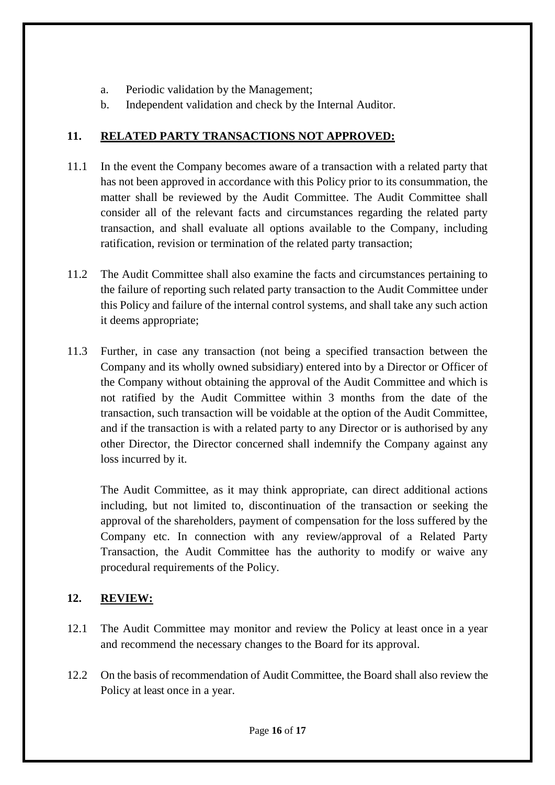- a. Periodic validation by the Management;
- b. Independent validation and check by the Internal Auditor.

## **11. RELATED PARTY TRANSACTIONS NOT APPROVED:**

- 11.1 In the event the Company becomes aware of a transaction with a related party that has not been approved in accordance with this Policy prior to its consummation, the matter shall be reviewed by the Audit Committee. The Audit Committee shall consider all of the relevant facts and circumstances regarding the related party transaction, and shall evaluate all options available to the Company, including ratification, revision or termination of the related party transaction;
- 11.2 The Audit Committee shall also examine the facts and circumstances pertaining to the failure of reporting such related party transaction to the Audit Committee under this Policy and failure of the internal control systems, and shall take any such action it deems appropriate;
- 11.3 Further, in case any transaction (not being a specified transaction between the Company and its wholly owned subsidiary) entered into by a Director or Officer of the Company without obtaining the approval of the Audit Committee and which is not ratified by the Audit Committee within 3 months from the date of the transaction, such transaction will be voidable at the option of the Audit Committee, and if the transaction is with a related party to any Director or is authorised by any other Director, the Director concerned shall indemnify the Company against any loss incurred by it.

The Audit Committee, as it may think appropriate, can direct additional actions including, but not limited to, discontinuation of the transaction or seeking the approval of the shareholders, payment of compensation for the loss suffered by the Company etc. In connection with any review/approval of a Related Party Transaction, the Audit Committee has the authority to modify or waive any procedural requirements of the Policy.

## **12. REVIEW:**

- 12.1 The Audit Committee may monitor and review the Policy at least once in a year and recommend the necessary changes to the Board for its approval.
- 12.2 On the basis of recommendation of Audit Committee, the Board shall also review the Policy at least once in a year.